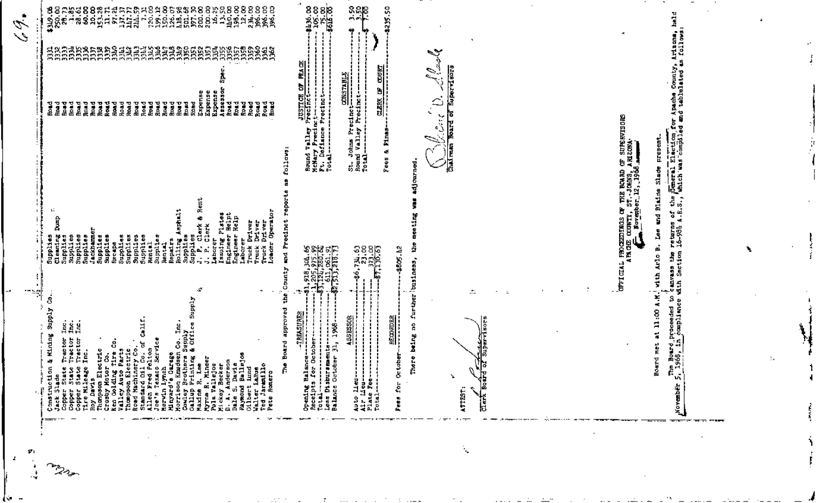| л.                                                                                                               |                                                                                                                                                                                                                                                                                                                                                                                                                                                                                                                                                                                                                                                                                                                                                                                                                                                                                                                                           | $\mathscr{L}$<br>$\mathcal{L}$                                                                                                                                                                                                                                                                                                            |
|------------------------------------------------------------------------------------------------------------------|-------------------------------------------------------------------------------------------------------------------------------------------------------------------------------------------------------------------------------------------------------------------------------------------------------------------------------------------------------------------------------------------------------------------------------------------------------------------------------------------------------------------------------------------------------------------------------------------------------------------------------------------------------------------------------------------------------------------------------------------------------------------------------------------------------------------------------------------------------------------------------------------------------------------------------------------|-------------------------------------------------------------------------------------------------------------------------------------------------------------------------------------------------------------------------------------------------------------------------------------------------------------------------------------------|
| $\mathbf{r}$                                                                                                     | <b>THE</b>                                                                                                                                                                                                                                                                                                                                                                                                                                                                                                                                                                                                                                                                                                                                                                                                                                                                                                                                |                                                                                                                                                                                                                                                                                                                                           |
|                                                                                                                  | Isauing Plates<br>Engineer Helpt<br>Engineer Help<br>≏<br>es<br>Sac<br>E,<br>I<br>÷,<br>õ<br>ō<br>Supplies<br>Supplies<br>u<br>₩<br>۰<br>Supplies<br>Rental<br>Ψ<br>Supplis<br>Jackha<br>Suppli<br>Suppli<br>Recapa<br>Suppli<br>Suppl1<br>្បែង<br>មានធ្វើ<br>សង្គម<br>Supplie<br>Clean!<br>Suppli<br>륖<br>Rentel<br>Repuir<br>Rollin<br>ا<br>آلو<br>ă<br>Ť<br>Truck<br>Truck<br>Londs<br>훀<br>ී<br>لطور<br>المراجع<br>ÚJ<br>ម៉ូន្តូ<br>ដូងដ<br>ō<br>Supply<br>Kidows<br>Andre<br><b>Hining</b><br>Tractor<br>Tractor<br>Tractor<br>Inc.<br>3<br>Constitute Minimal Minimal Constitute<br>Constitute Traction & Minimal<br>Copper State Tractic<br>Copper State Tractic<br>Copper State Tractic<br>Roy Davis Rectine<br>Copper State Tractic<br>Copper State Tractic<br>Copper State<br>Copper St<br>$ -$<br>المواصل المناوب المتوارد والمتفقف فالأربع والمراد والمتحدث والمتواصف والمتوارد المستنب<br>the control of the second<br>_____ | 882838882455565888585888888888888<br><u>់ខ្ពស់ទំន័ងថ្មីមនុស្សសង្គ័ន់</u> ខ្ពស់ និង<br>្មុខខ្លួងខ្លួងខ្លួងខ្ញុំ<br>ತ್ತಿಜಿನ                                                                                                                                                                                                                 |
|                                                                                                                  | 53.88<br>\$805.12<br>$\begin{array}{l} \textbf{1}, \textbf{918}, \textbf{304}, \textbf{65} \\ \textbf{1}, \textbf{205}, \textbf{975}, \textbf{99} \\ \textbf{1}, \textbf{121}, \textbf{205}, \textbf{107}, \textbf{61} \\ \textbf{511}, \textbf{206}, \textbf{61} \\ \textbf{611}, \textbf{961}, \textbf{91} \\ \textbf{2}, \textbf{731}, \textbf{731}, \textbf{73} \\ \textbf{1}, \textbf{731}, \textbf{731}, \textbf{73} \end{array}$<br>ਦੂ<br>Π,<br>$\mathbf{E}$<br>o<br>-l.,<br>49,<br>坍<br>ś<br><b>SESSON</b><br><b>RECORDER</b><br>appro<br>빏<br>1868<br>훽<br>tober.<br>$\frac{1}{2}$ $\frac{1}{2}$<br>-si<br>Ë<br>ξĕ<br>ğξ<br>8<br>Auto lieu-<br>Air Lieu--<br>Plate Fee--<br>Total------<br>4<br>--                                                                                                                                                                                                                               | <b>8252-25</b><br>- 2625-26<br>- 2624<br>유유 <b>용</b><br>5235.50<br>Ы<br>꼛<br>ē<br><b>CONSTABL</b><br>ò<br>ы<br>eclnet-----<br>Precinct--<br>JUSTICE<br>Precinct<br>تد<br>Precinc<br>ă.<br>↵<br>Σ<br>St. Johns Pre<br>Round Valley<br>Potal---------<br>Round Valley<br>McNary Presi<br>Fotal---------<br>Total--------<br>â<br>۰đ<br>Fees |
| ÷.                                                                                                               | ÷,<br>Ē<br>÷<br>∴<br>rther<br>4<br>ដ<br>being<br>г<br>Ė<br>y.<br>12<br>ATTEST:<br>۰<br>$\frac{1}{\sqrt{2}}$<br>$\sim$ $=$ $-$<br>$\cdot$ . $-$                                                                                                                                                                                                                                                                                                                                                                                                                                                                                                                                                                                                                                                                                                                                                                                            | <b>Heal</b><br>$\mathscr{D}^{\prime}$<br>c.,<br>is<br>Isl<br>≏<br>ι,                                                                                                                                                                                                                                                                      |
| - 1                                                                                                              |                                                                                                                                                                                                                                                                                                                                                                                                                                                                                                                                                                                                                                                                                                                                                                                                                                                                                                                                           |                                                                                                                                                                                                                                                                                                                                           |
| ा अनुसार प्राप्त अधिकारी स् <b>राप्त स्थापित स्थापित स्थापित स्थापित स्थापित स्थापित स्थापित स्थापित स्थापित</b> | EDINOS<br>COUNTI<br>returns<br>16-981<br>ă.<br>Ěž<br>罒<br>Ş<br>å<br>o<br>Ė<br><b>OFFICIA</b><br>ű,<br>d<br>े<br>पौधा<br>पौधा<br>×<br>Ŝ<br>adi<br>Sepa<br>ø<br>ă.<br>Ş.<br>$\frac{5}{2}$<br>옲<br>Ē.<br>u.<br>ı.<br>e<br>$\sigma$<br>$\tilde{a}$                                                                                                                                                                                                                                                                                                                                                                                                                                                                                                                                                                                                                                                                                            | ŜĮ<br><b>MAISOR</b><br>ŏ<br>OF SUPPI<br>5<br>린<br>$\mathbf{H}$<br>ä<br>f.<br>I BOARD (<br>JOHNS, A<br>2, 1968<br><b>External</b><br>Votes ve<br>à<br>Ĵ<br>Ë<br>$\frac{5}{3}$ ,<br>딞<br>œ<br>Ğ.                                                                                                                                            |
|                                                                                                                  | ٠.                                                                                                                                                                                                                                                                                                                                                                                                                                                                                                                                                                                                                                                                                                                                                                                                                                                                                                                                        |                                                                                                                                                                                                                                                                                                                                           |
|                                                                                                                  |                                                                                                                                                                                                                                                                                                                                                                                                                                                                                                                                                                                                                                                                                                                                                                                                                                                                                                                                           |                                                                                                                                                                                                                                                                                                                                           |

K.

 $\cdot$   $\cdot$   $\cdot$ 

 $\sim$ 

 $\sim$   $\sim$   $\sim$ 

**SACRA** 

 $\mathcal{P}^{\text{max}}$ 

 $\sim 10^{-1}$  and  $\sim 10^{-1}$ 

J,

 $\cdot$   $-$ 

۰,

 $-$ 

 $\sim$  -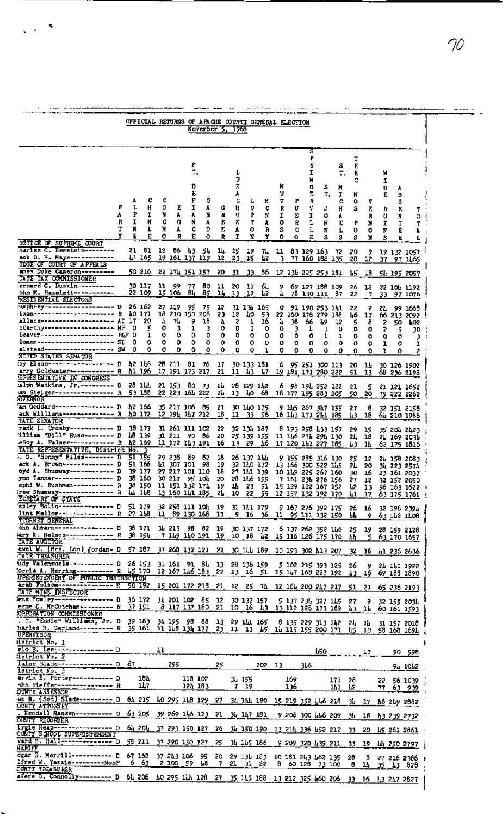|                                                                                                                                                                                                                                                                                           |                  |                   | OFFICIAL RETURNS OF APACHE COUNTI ORKERAL ELECTION                         |                            |                                                    |                                                 | November 5, 1968               |                                   |                                                 |                                           |                                                                                                  |                                      |                             |                                                                   |                                  |                                                                      |                                                 |                                   |                                           |                                  |                                                                                                            |
|-------------------------------------------------------------------------------------------------------------------------------------------------------------------------------------------------------------------------------------------------------------------------------------------|------------------|-------------------|----------------------------------------------------------------------------|----------------------------|----------------------------------------------------|-------------------------------------------------|--------------------------------|-----------------------------------|-------------------------------------------------|-------------------------------------------|--------------------------------------------------------------------------------------------------|--------------------------------------|-----------------------------|-------------------------------------------------------------------|----------------------------------|----------------------------------------------------------------------|-------------------------------------------------|-----------------------------------|-------------------------------------------|----------------------------------|------------------------------------------------------------------------------------------------------------|
| USTICE OF SUPREME COURT                                                                                                                                                                                                                                                                   | A<br>R<br>т<br>T | P<br>I<br>N<br>в  | c<br>H<br>τ<br>ĸ<br>L<br>Е                                                 | ¢<br>٥<br>N<br>c<br>н<br>٥ | Е<br>A<br>a<br>۸<br>R                              | Þ<br>Ť,<br>D<br>E<br>Г<br>1<br>۸<br>M<br>c<br>Ē | 0.<br>A<br>N<br>A<br>D<br>٥    | G<br>R<br>Ł<br>E<br>R             | Į,<br>υ<br>к<br>¥<br>c<br>Ħ<br>U<br>x<br>۸<br>I | L<br>Ù<br>₽<br>т<br>٥<br>n                | Ν<br>c<br>N<br>٨<br>R<br>ï                                                                       | N<br>υ<br>T<br>R<br>I<br>٥<br>s<br>0 | Р<br>U<br>Е<br>Ŕ.<br>c<br>o | s<br>P<br>R<br>Ι.<br>N<br>о<br>E<br>R<br>v<br>1<br>L<br>Ŀ<br>Е    | s<br>т.<br>J<br>٥<br>н<br>π<br>з | 5<br>т.<br>м<br>I<br>c<br>Н<br>۸<br>E<br>L<br>з                      | T<br>в<br>В<br>c<br>N<br>٥<br>\$<br>P<br>0<br>s | v<br>Е<br>R<br>Ν<br>۰<br>N        | w<br>I<br>D<br>E<br>R<br>U<br>I<br>и<br>5 | в<br>5<br>E<br>Ħ<br>т<br>E,<br>Е | т<br>о<br>т                                                                                                |
| harles C. Herstein--------<br>eck D. H. Hays------------                                                                                                                                                                                                                                  |                  |                   | 21 81<br>Ll 165                                                            | 12                         | 86 43 54<br>19 161 137 119                         |                                                 |                                | щ<br>12                           | 15<br>23.                                       | 19<br>15                                  | 42                                                                                               | 74 11<br>3.                          |                             | 83 129 163 72<br>77 160 182 135                                   |                                  |                                                                      | 20<br>28                                        | э.<br>12                          |                                           |                                  | 19 132 1057<br>37 97 1465                                                                                  |
| UDGE OF CUTRI OF APPEALS<br>mass Duke Cameron---------                                                                                                                                                                                                                                    |                  |                   | 50 216                                                                     |                            | 22 174 151 157                                     |                                                 |                                | 20                                | 31                                              | 33                                        | 66                                                                                               |                                      |                             | 12 134 225 253 181                                                |                                  |                                                                      | 45                                              | 18.                               |                                           |                                  | 54 195 2057                                                                                                |
| <b>TATE TAX COMMISSIONER</b><br>ernard C. Duskin-----------<br>ohn M. Hazələtt------------                                                                                                                                                                                                |                  |                   | 30 117 L<br>22 109 15 106                                                  |                            | 11 99                                              | - 77<br>84                                      | 80.<br>85                      | 11<br>14                          | 20<br>13                                        | 17                                        | 64<br>17 42                                                                                      | 9<br>4                               |                             | 69 127 188 109<br>78 130 111 87                                   |                                  |                                                                      | 26<br>22                                        | 12                                |                                           |                                  | 22 101 1192<br>7 33 97 1076                                                                                |
| RESIDENTIAL ELECTORS<br>խբբիր բy-------------------<br>i günesesessesse seestavat<br>allace-------------------<br><u>cCarthy-----------------</u><br>leaver----------------------<br>lomen---------------------- SL<br><u>alstead-------------------- SW</u>                              | D<br>R           | 17<br>٥<br>o<br>٥ | 26 162<br>10 171<br>20<br>5<br>ı<br>o<br>٥                                 | 4<br>۰<br>٥<br>٥<br>0      | 27 119<br>18 210 150 208<br>74<br>3<br>٥<br>٥<br>٥ | 95<br>9<br>ı<br>0<br>۰<br>٥                     | - 75<br>18<br>3<br>٥<br>۰<br>٥ | 12<br>23<br>Ł<br>о<br>٥<br>٥<br>٥ | 12<br>2<br>ņ<br>0<br>o<br>D                     | 31 134 165<br>40<br>4<br>1<br>٥<br>٥<br>o | -53<br>16<br>۰<br>o<br>٥<br>ı                                                                    | ы<br>0<br>٥<br>٥<br>0                | 38<br>Э<br>٥<br>0<br>٥      | 0 91 190 253 141<br>22 160 176 279 188<br>66<br>Ł,<br>o<br>٥<br>٥ | -19<br>3<br>1<br>о<br>o          | 12<br>o<br>ı<br>٥<br>٥                                               | 22<br>L6<br>5<br>۰<br>o<br>٥<br>0               | 2<br>17<br>ð.<br>۰<br>۰<br>٥<br>٥ | 24<br>2<br>2<br>۰<br>ı<br>ı               | 50.<br>5<br>0.<br>0<br>٥         | 99 1668<br>66 213 2092 !<br>uo2<br>30<br>3.<br>ı<br>2                                                      |
| NITED STATES SENATOR<br>юу Elson----------------- D  42 148<br>arry Goldwater ----------- R h1 196 17 191 173 217 21 11 43 47 19 181 171 280 222                                                                                                                                          |                  |                   |                                                                            |                            | 28 211 81 76 17                                    |                                                 |                                |                                   |                                                 | 30 133 181                                |                                                                                                  |                                      |                             |                                                                   |                                  | 6 95 251 300 113                                                     | 20<br>51                                        | 13.                               |                                           |                                  | 11.301261902<br>68 236 2198                                                                                |
| <b><i>EPRESENTATIVE IN CONGRESS</i></b><br>minh Watkins, Jr. -------- B 28 144 21 153 80 73 14 28 129 142<br>am Steiger---------------- R                                                                                                                                                 |                  |                   | 53 188                                                                     |                            | 55 553 107 555 57                                  |                                                 |                                |                                   | 13                                              |                                           | 10 68 18 177 195 283 205                                                                         |                                      |                             | 6 98 194 252 122                                                  |                                  |                                                                      | -21<br>50.                                      | 5<br>20.                          |                                           |                                  | 21 121 1652<br>75 222 2262                                                                                 |
| <b>OVERNOR</b><br>am Goddard----------------- D<br>ack Williams-------------- R                                                                                                                                                                                                           |                  |                   | 42 166<br>40 172 12 194 147 212 18 11 33 56 16 143 171 241 185             |                            | 35 217 106 85                                      |                                                 |                                | 21                                |                                                 | 30 140 175                                |                                                                                                  |                                      |                             | 9 145 267 347 155                                                 |                                  |                                                                      | 27<br>43                                        | θ<br>18                           |                                           |                                  | 32 151 2158<br>61 210 1986                                                                                 |
| TATE SEM TOR<br>rank L. Crosby------------ D<br>'illiam "Bill" Huso-------- D  48 139<br>eRoy A. Palmer----------- R 42 169 11 172 143 191<br>TATE REPRESENTATIVE, District No.                                                                                                           |                  |                   | 38 173                                                                     |                            | 31 261 111 102<br>31 211 90 86 20                  |                                                 |                                | - 22                              |                                                 | 32 134 187<br>25 139 155                  | 16 13 29 46 17 120 111 227 185                                                                   |                                      |                             | 8 193 258 133 157<br>11 146 271 291 130                           |                                  |                                                                      | 29<br>24<br>U)                                  | 15<br>18<br>ш                     |                                           |                                  | 35 201 2423<br>21 169 2031<br>62 175 1816                                                                  |
| . O. "Sonny" Biles-------- D<br>ack A. Brown-------------- D<br>oyd A. Shumway------------ D<br>ynn Tanner---------------- D<br>ephi W. Bushman---------- R 38 150 11 151 132 174 19 14 23 51 15 129 122 167 152 42 13 56 163 1622 .<br>лем Shumway--------------- R<br>ECRETARY OF STATE |                  |                   | 51 155<br>51 166<br>39 177<br>36 160 30 217 95 104 20 28 146 155<br>LL 118 |                            | 29 238 89 82<br>L1 307 101 98                      |                                                 |                                | 15                                |                                                 | 26 137 144                                | 27 217 101 110 18 27 141 139 10 149 225 267 160<br>13 160 141 185 24 10 22 55 12 157 132 192 170 |                                      |                             |                                                                   |                                  | 9 155 285 316 130<br>19 32 140 172 13 166 300 522 145                | 25<br>24<br>30                                  | 12<br>20                          |                                           |                                  | 21 158 2083<br>34 223 2574<br>16 23 161 2037<br>7 161 234 276 156 27 12 32 152 2050<br>$41$ 17 63 175 1761 |
| esley Bolin--------------- D 51 179<br>lint Mallor-------------- R 27 1h8 11 89 130 168 17<br>TTORNET GENERAL                                                                                                                                                                             |                  |                   |                                                                            |                            |                                                    |                                                 |                                |                                   |                                                 |                                           |                                                                                                  |                                      |                             |                                                                   |                                  | 9 16 36 11 95 111 132 150 山                                          |                                                 |                                   |                                           |                                  | 32 258 111 104 19 31 141 179 9 167 276 392 175 26 16 32 196 2394<br>9 63 112 1108                          |
| ohn Ahearn---------------- D<br>Mry X. Nelson------------- R 38 15h<br>IATE AUDITOR                                                                                                                                                                                                       |                  |                   | 38 171                                                                     |                            | 34 213 98 82 19 30 137 172                         |                                                 |                                |                                   |                                                 |                                           |                                                                                                  |                                      |                             |                                                                   |                                  | 6 137 262 352 146 25<br>7 149 140 191 19 10 18 42 15 116 126 175 170 | ш                                               | 5.                                |                                           |                                  | 19 28 159 2128<br>63 170 1652                                                                              |
| ewel W. (Hrs. Lon) Jordan- D 57 187 37 268 132 121 21 30 144 189 10 193 302 413 207<br><b>TATE TREASURER</b>                                                                                                                                                                              |                  |                   |                                                                            |                            |                                                    |                                                 |                                |                                   |                                                 |                                           |                                                                                                  |                                      |                             |                                                                   |                                  |                                                                      | - 32                                            |                                   |                                           |                                  | 16 41 236 2636                                                                                             |
| udy Valenzuela------------ D 26 153 31 161 91 84 13 28 136 159 5 102 215 393 125 26<br>orria A, Herring---------- R 45 170 12 167 146 183 22 13 16 51 15 147 168 227 192 43<br>UPERINTENDENT OF PUBLIC INSTRUCTION                                                                        |                  |                   |                                                                            |                            |                                                    |                                                 |                                |                                   |                                                 |                                           |                                                                                                  |                                      |                             |                                                                   |                                  |                                                                      |                                                 |                                   |                                           |                                  | 9 21 151 1922<br>16 69 188 1890                                                                            |
| arah Folsom---------------- R<br><b>TATE KINE INSPECTOR</b>                                                                                                                                                                                                                               |                  | 50 192            |                                                                            |                            |                                                    |                                                 |                                |                                   |                                                 |                                           |                                                                                                  |                                      |                             |                                                                   |                                  |                                                                      |                                                 |                                   |                                           |                                  | 15 201 172 218 21 12 25 74 12 164 200 247 217 51 21 65 236 2193                                            |
| Fans Fowley---------------- D 36 172 31 201 102 85 12 30 137 157 5 137 234 327 145 27<br>erne C. McOutchan --------- R 37 151<br>ORPORATION CONNISSIONER                                                                                                                                  |                  |                   |                                                                            |                            |                                                    |                                                 |                                |                                   |                                                 |                                           |                                                                                                  |                                      |                             |                                                                   |                                  | 8 117 137 180 21 10 16 43 13 112 128 173 169                         | 43.                                             | Э.                                |                                           |                                  | 32 155 2034<br>11 60 161 1593                                                                              |
| . T. WEGGie" Williams, Jr. D 39 163 34 195 98 88 13 29 141 165 8 135 229 313 142 24 14<br>harles H. Garland--------- R 35 161 11 148 134 177 23 11 13 45 14 115 155 200 171 45 10 58 168 1694<br>UPERTSOR                                                                                 |                  |                   |                                                                            |                            |                                                    |                                                 |                                |                                   |                                                 |                                           |                                                                                                  |                                      |                             |                                                                   |                                  |                                                                      |                                                 |                                   |                                           |                                  | 31 157 2018                                                                                                |
| Hatrict No. 1<br>rlo B, Lee------------------ D<br>istrict No. 2                                                                                                                                                                                                                          |                  |                   |                                                                            | 41                         |                                                    |                                                 |                                |                                   |                                                 |                                           |                                                                                                  |                                      |                             |                                                                   | 450                              |                                                                      |                                                 | 17                                |                                           |                                  | <u>90 598</u>                                                                                              |
| laine Slade---------------- D<br>lstrict No. 3                                                                                                                                                                                                                                            |                  | -67               |                                                                            |                            | 295.                                               |                                                 |                                | 25                                |                                                 |                                           | 202 13                                                                                           |                                      |                             | JЬ6                                                               |                                  |                                                                      |                                                 |                                   |                                           |                                  | 91 1012                                                                                                    |
| arvin E. Porter----------- D<br>ohn Rieffer---------------- R                                                                                                                                                                                                                             |                  |                   | 184.<br>147                                                                |                            |                                                    | 118 102<br>124 183                              |                                |                                   |                                                 | 34 155<br>7 19                            |                                                                                                  |                                      | 169<br>136                  |                                                                   |                                  | 171 28<br>141.                                                       | 42                                              |                                   |                                           |                                  | 22 56 1039<br>77 63 939                                                                                    |
| ount Tassessor<br>en B. (Son) Slade--------- D 64 215 40 295 148 129 27 34 144 190 15 219 352 446 218<br><b>DUNTY ATTORNEY</b>                                                                                                                                                            |                  |                   |                                                                            |                            |                                                    |                                                 |                                |                                   |                                                 |                                           |                                                                                                  |                                      |                             |                                                                   |                                  |                                                                      |                                                 |                                   |                                           |                                  | 34 17 46 249 2002                                                                                          |
| . Kendall Hansen--------- D 63 205 39 269 146 123 21 34 147 181 9 206 300 446 209<br>OUNTY RECORDER                                                                                                                                                                                       |                  |                   |                                                                            |                            |                                                    |                                                 |                                |                                   |                                                 |                                           |                                                                                                  |                                      |                             |                                                                   |                                  |                                                                      |                                                 |                                   |                                           |                                  | $3h$ 18 $h3$ 239 2732.                                                                                     |
| Irgiw Heap---------------- D 64 204 37 293 150 127 26 34 150 190 13 214 336 452 212 33<br>CUNTY SCHOOL SUPERINTENDENT                                                                                                                                                                     |                  |                   |                                                                            |                            |                                                    |                                                 |                                |                                   |                                                 |                                           |                                                                                                  |                                      |                             |                                                                   |                                  |                                                                      |                                                 | 20                                |                                           |                                  | US 261 2861                                                                                                |
| vard B. Hall--------------- D<br>наагт                                                                                                                                                                                                                                                    |                  |                   | 58 211 37 290 150 127                                                      |                            |                                                    |                                                 |                                | 25.                               |                                                 | 34 145 186                                |                                                                                                  |                                      |                             |                                                                   |                                  | <u>9 209 320 439 211 33</u>                                          |                                                 | 19                                |                                           |                                  | <u>ևի 250 279</u> 7 է                                                                                      |
| dgar B. Merrill----------- D 67 162<br>lfred W. Yazzie-----------MonP                                                                                                                                                                                                                     |                  |                   | 6 63 2 100 59 18                                                           |                            |                                                    |                                                 |                                |                                   |                                                 | $7$ 21 $31$ 22                            |                                                                                                  |                                      |                             | 8 60 128 73 100                                                   |                                  | 37 243 106 95 20 29 134 183 10 181 243 462 135                       | 28<br>θ.                                        | B<br>14.                          |                                           |                                  | 27 216 2386 )<br>35 A3 828                                                                                 |
| <b>OUNTY TREASURER</b><br>17ere 0. Connolly---------- D 64 206 AO 295 144 128 27 35 145 188 13 212 325 460 206 33 16 A3 247 2827                                                                                                                                                          |                  |                   |                                                                            |                            |                                                    |                                                 |                                |                                   |                                                 |                                           |                                                                                                  |                                      |                             |                                                                   |                                  |                                                                      |                                                 |                                   |                                           |                                  |                                                                                                            |

 $\gamma_{\!\mathcal{O}}$